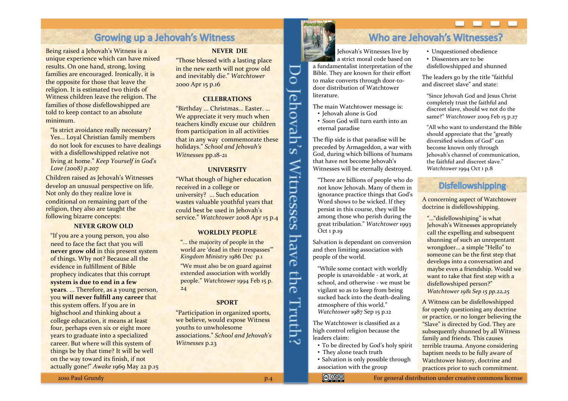# **Growing up a Jehovah's Witness**

Being raised a Jehovah's Witness is a unique experience which can have mixed results. On one hand, strong, loving families are encouraged. Ironically, it is the opposite for those that leave the religion. It is estimated two thirds of Witness children leave the religion. The families of those disfellowshipped are told to keep contact to an absolute minimum

"Is strict avoidance really necessary? Yes... Loyal Christian family members do not look for excuses to have dealings with a disfellowshipped relative not living at home." *Keep Yourself in God's Love* (2008) p.207

Children raised as Jehovah's Witnesses develop an unusual perspective on life. Not only do they realize love is conditional on remaining part of the religion, they also are taught the following bizarre concepts:

### **NEVER GROW OLD**

"If you are a young person, you also need to face the fact that you will **never grow old in this present system** of things. Why not? Because all the evidence in fulfillment of Bible prophecy indicates that this corrupt system is due to end in a few **years....** Therefore, as a young person, you will never fulfill any career that this system offers. If you are in highschool and thinking about a college education, it means at least four, perhaps even six or eight more years to graduate into a specialized career. But where will this system of things be by that time? It will be well on the way toward its finish, if not actually gone!" Awake 1969 May 22 p.15

#### **NEVER DIE**

"Those blessed with a lasting place in the new earth will not grow old and inevitably die." Watchtower 2000 Apr 15 p.16

#### **CELEBRATIONS%**

"Birthday ... Christmas... Easter. ... We appreciate it very much when teachers kindly excuse our children from participation in all activities that in any way commemorate these holidays." *School and Jehovah's Witnesses* pp.18-21

### **UNIVERSITY**

"What though of higher education received in a college or university? ... Such education wastes valuable youthful years that could best be used in Jehovah's service." Watchtower 2008 Apr 15 p.4

### **WORLDLY%PEOPLE%**

"... the majority of people in the world are 'dead in their trespasses'" *Kingdom Ministry* 1986 Dec p.1 "We must also be on guard against extended association with worldly

people." Watchtower 1994 Feb 15 p. 24

### **SPORT%**

"Participation in organized sports, we believe, would expose Witness youths to unwholesome associations." *School and Jehovah's Witnesses* p.23



 $\overline{\overline{\overline{C}}}$ 

Jehovah's Witnesses have the

Truth?

# Who are Jehovah's Witnesses?

Jehovah's Witnesses live by a strict moral code based on a fundamentalist interpretation of the Bible. They are known for their effort to make converts through door-todoor distribution of Watchtower literature.

The main Watchtower message is:

- Jehovah alone is God
- *Soon* God will turn earth into an eternal paradise

The flip side is that paradise will be preceded by Armageddon, a war with God, during which billions of humans that have not become Jehovah's Witnesses will be eternally destroyed.

"There are billions of people who do" not know Jehovah. Many of them in ignorance practice things that God's Word shows to be wicked. If they persist in this course, they will be among those who perish during the great"tribulation.""*Watchtower\**1993"  $\overline{O}$ ct 1 p.19

Salvation is dependant on conversion and then limiting association with people of the world.

"While some contact with worldly people is unavoidable - at work, at school, and otherwise - we must be vigilant so as to keep from being sucked back into the death-dealing atmosphere of this world." *Watchtower* 1987 Sep 15 p.12

The Watchtower is classified as a high control religion because the leaders claim:

- To be directed by God's holy spirit
- They alone teach truth
- Salvation is only possible through association with the group
- Unquestioned obedience
- Dissenters are to be
- disfellowshipped and shunned

The leaders go by the title "faithful" and discreet slave" and state:

"Since Jehovah God and Jesus Christ completely trust the faithful and discreet slave, should we not do the same?" Watchtower 2009 Feb 15 p.27

"All who want to understand the Bible should appreciate that the "greatly" diversified wisdom of God" can become known only through Jehovah's channel of communication, the faithful and discreet slave." *Watchtower* 1994 Oct 1 p.8

## **Disfellowshipping**

A concerning aspect of Watchtower doctrine is disfellowshipping.

"..."disfellowshiping" is what Jehovah's Witnesses appropriately call the expelling and subsequent shunning of such an unrepentant wrongdoer... a simple "Hello" to someone can be the first step that develops into a conversation and maybe even a friendship. Would we want to take that first step with a disfellowshiped person?" *Watchtower\*1981\*Sep\*15\*pp.22,25*

A Witness can be disfellowshipped for openly questioning any doctrine or practice, or no longer believing the "Slave" is directed by God. They are subsequently shunned by all Witness family and friends. This causes terrible trauma. Anyone considering baptism needs to be fully aware of Watchtower history, doctrine and practices prior to such commitment.